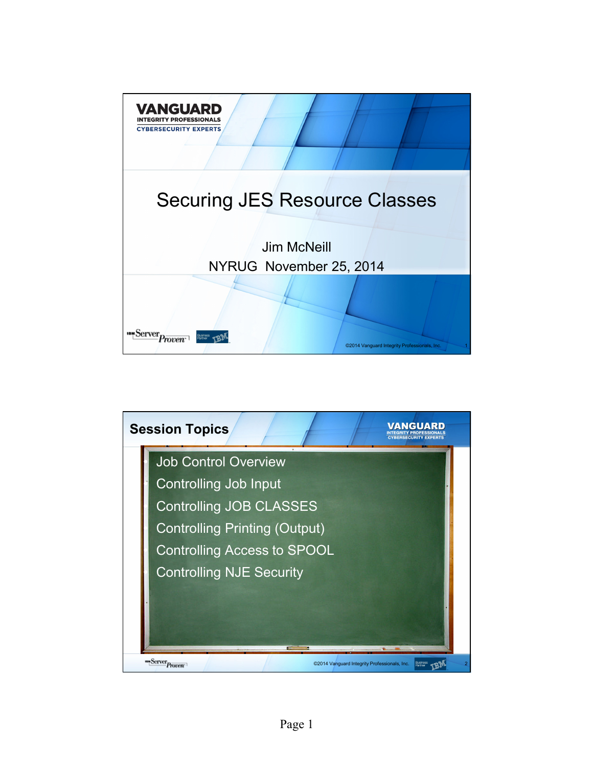

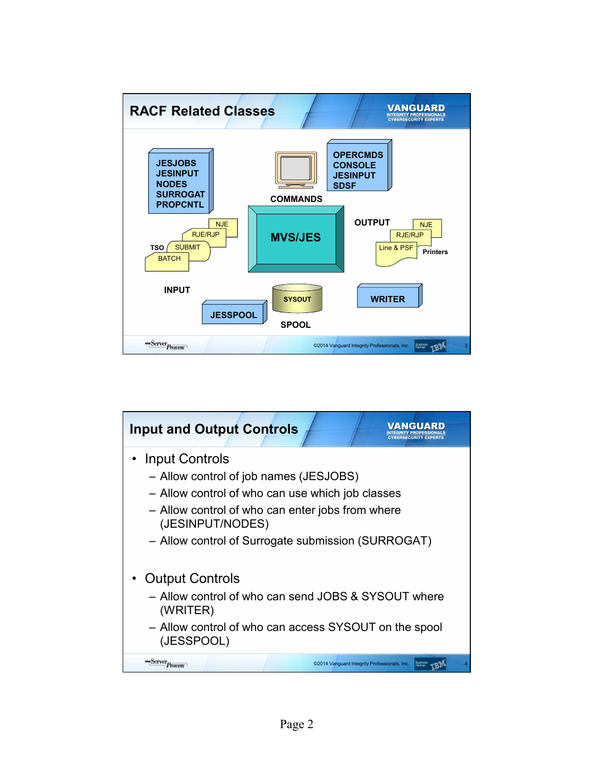

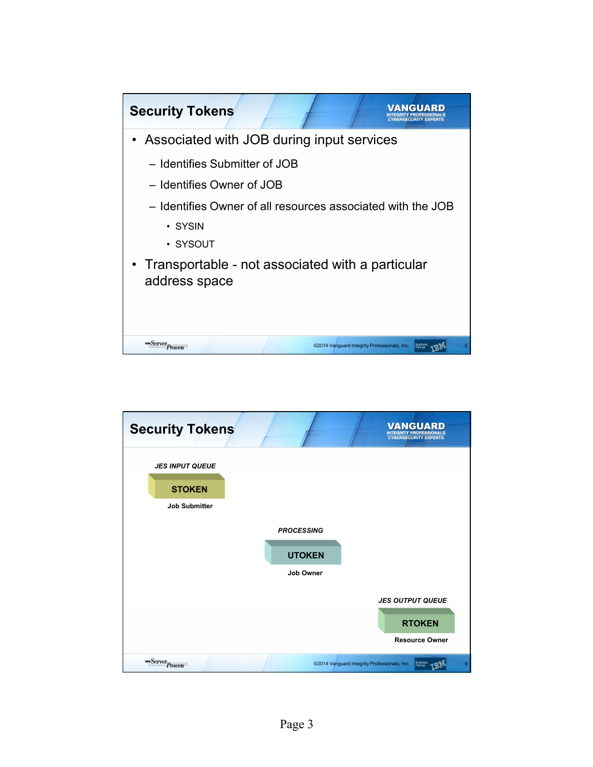

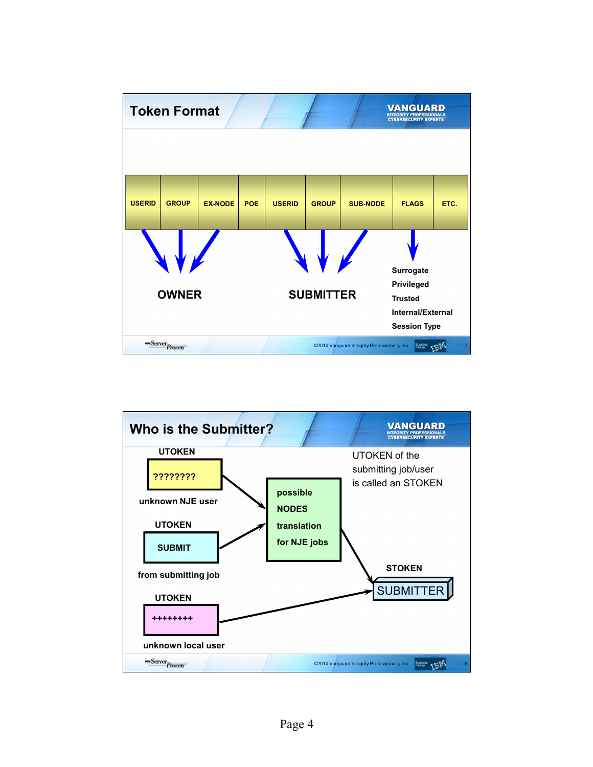

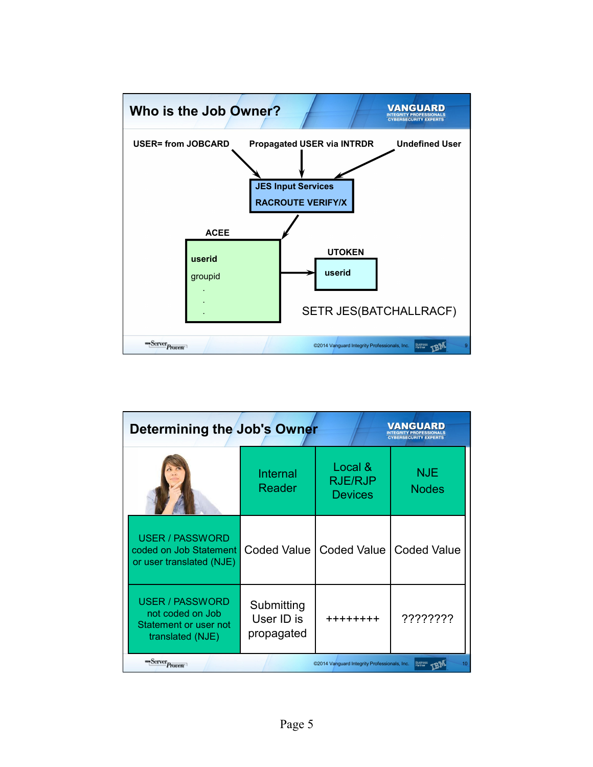

| VANGUARE<br>Determining the Job's Owner<br><b>CYBERSECURITY EXPERTS</b>                 |                                        |                                              |                                 |  |  |
|-----------------------------------------------------------------------------------------|----------------------------------------|----------------------------------------------|---------------------------------|--|--|
|                                                                                         | Internal<br>Reader                     | Local &<br><b>RJE/RJP</b><br><b>Devices</b>  | <b>NJE</b><br><b>Nodes</b>      |  |  |
| <b>USER / PASSWORD</b><br>coded on Job Statement<br>or user translated (NJE)            | Coded Value I                          | Coded Value                                  | <b>Coded Value</b>              |  |  |
| <b>USER / PASSWORD</b><br>not coded on Job<br>Statement or user not<br>translated (NJE) | Submitting<br>User ID is<br>propagated | ++++++++                                     | ????????                        |  |  |
| "Server <sub>Proven</sub>                                                               |                                        | ©2014 Vanguard Integrity Professionals, Inc. | <b>Busines</b><br>Partner<br>10 |  |  |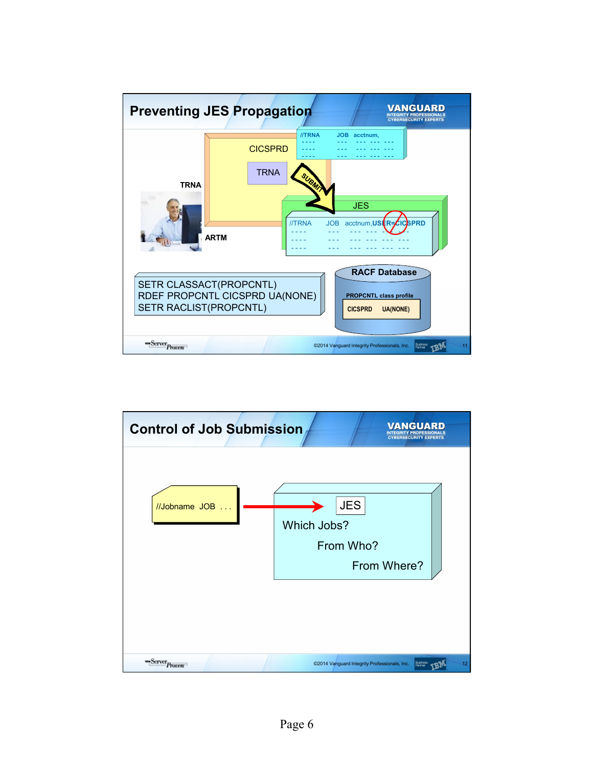

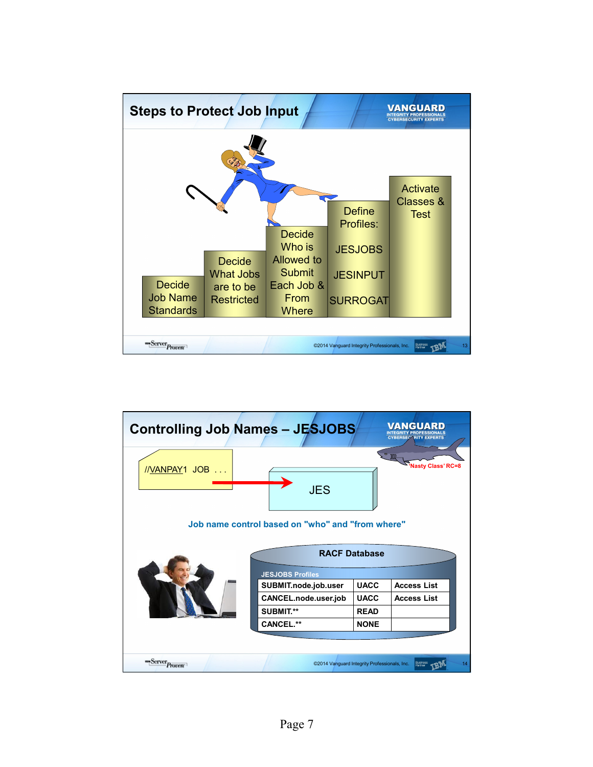

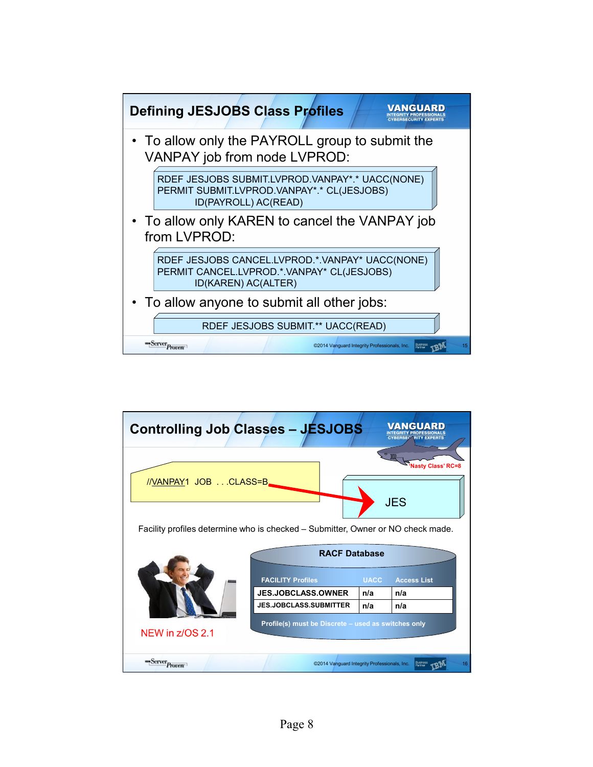

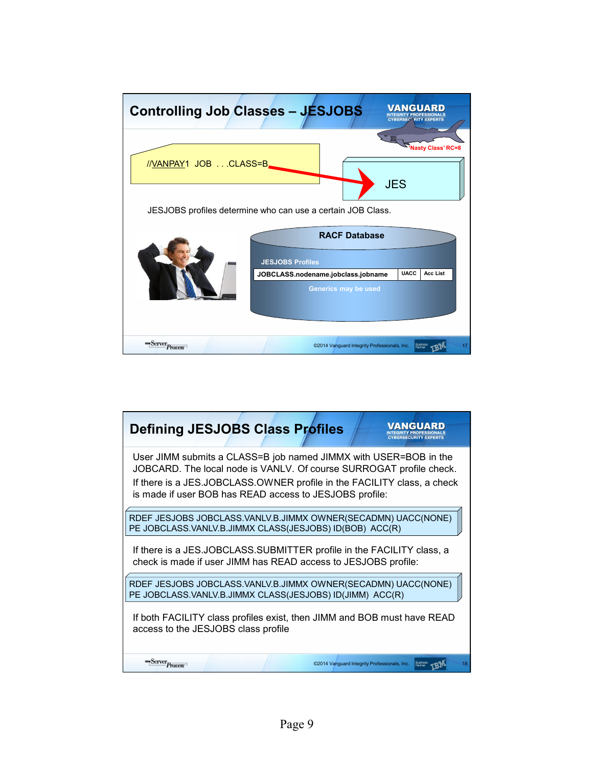

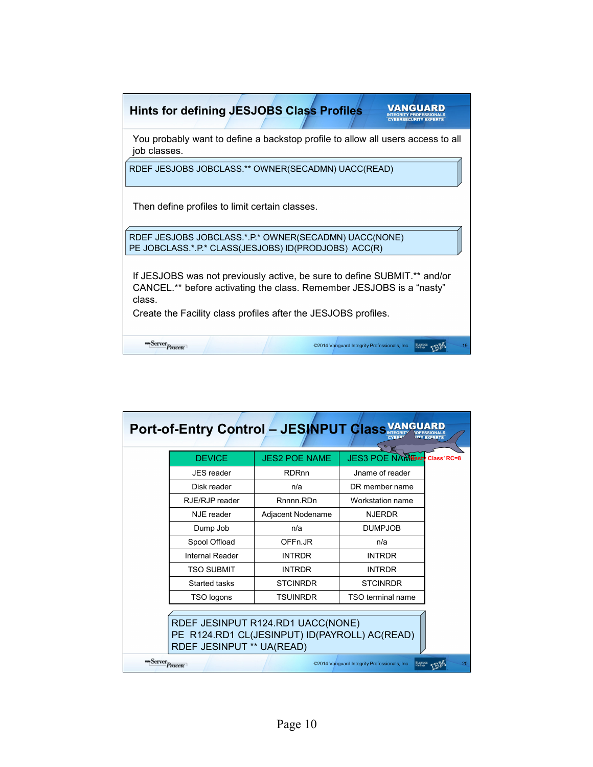| <b>Hints for defining JESJOBS Class Profiles</b>                                                                                                           |  |  |  |  |
|------------------------------------------------------------------------------------------------------------------------------------------------------------|--|--|--|--|
| You probably want to define a backstop profile to allow all users access to all<br>job classes.                                                            |  |  |  |  |
| RDEF JESJOBS JOBCLASS.** OWNER(SECADMN) UACC(READ)                                                                                                         |  |  |  |  |
| Then define profiles to limit certain classes.                                                                                                             |  |  |  |  |
| RDEF JESJOBS JOBCLASS.*.P.* OWNER(SECADMN) UACC(NONE)                                                                                                      |  |  |  |  |
| PE JOBCLASS.*.P.* CLASS(JESJOBS) ID(PRODJOBS) ACC(R)                                                                                                       |  |  |  |  |
| If JESJOBS was not previously active, be sure to define SUBMIT.** and/or<br>CANCEL.** before activating the class. Remember JESJOBS is a "nasty"<br>class. |  |  |  |  |
| Create the Facility class profiles after the JESJOBS profiles.                                                                                             |  |  |  |  |
| <b>Server</b> Proven<br>Busines:<br>Partner<br>©2014 Vanguard Integrity Professionals, Inc.                                                                |  |  |  |  |

| Port-of-Entry Control - JESINPUT Class VAI                                                                      |                   |                      |                                                                     |    |  |  |
|-----------------------------------------------------------------------------------------------------------------|-------------------|----------------------|---------------------------------------------------------------------|----|--|--|
|                                                                                                                 | <b>DEVICE</b>     | <b>JES2 POE NAME</b> | m<br><b>JES3 POE NAMNesty Class' RC=8</b>                           |    |  |  |
|                                                                                                                 | <b>JES</b> reader | <b>RDRnn</b>         | Jname of reader                                                     |    |  |  |
|                                                                                                                 | Disk reader       | n/a                  | DR member name                                                      |    |  |  |
|                                                                                                                 | RJE/RJP reader    | Rnnnn.RDn            | Workstation name                                                    |    |  |  |
|                                                                                                                 | NJE reader        | Adjacent Nodename    | <b>NJERDR</b>                                                       |    |  |  |
|                                                                                                                 | Dump Job          | n/a                  | <b>DUMPJOB</b>                                                      |    |  |  |
|                                                                                                                 | Spool Offload     | OFFn.JR              | n/a                                                                 |    |  |  |
|                                                                                                                 | Internal Reader   | <b>INTRDR</b>        | <b>INTRDR</b>                                                       |    |  |  |
|                                                                                                                 | <b>TSO SUBMIT</b> | <b>INTRDR</b>        | <b>INTRDR</b>                                                       |    |  |  |
|                                                                                                                 | Started tasks     | <b>STCINRDR</b>      | <b>STCINRDR</b>                                                     |    |  |  |
|                                                                                                                 | TSO logons        | <b>TSUINRDR</b>      | TSO terminal name                                                   |    |  |  |
| RDEF JESINPUT R124.RD1 UACC(NONE)<br>PE R124.RD1 CL(JESINPUT) ID(PAYROLL) AC(READ)<br>RDEF JESINPUT ** UA(READ) |                   |                      |                                                                     |    |  |  |
| <b>Server</b> Proven                                                                                            |                   |                      | Busines:<br>Partner<br>©2014 Vanguard Integrity Professionals, Inc. | 20 |  |  |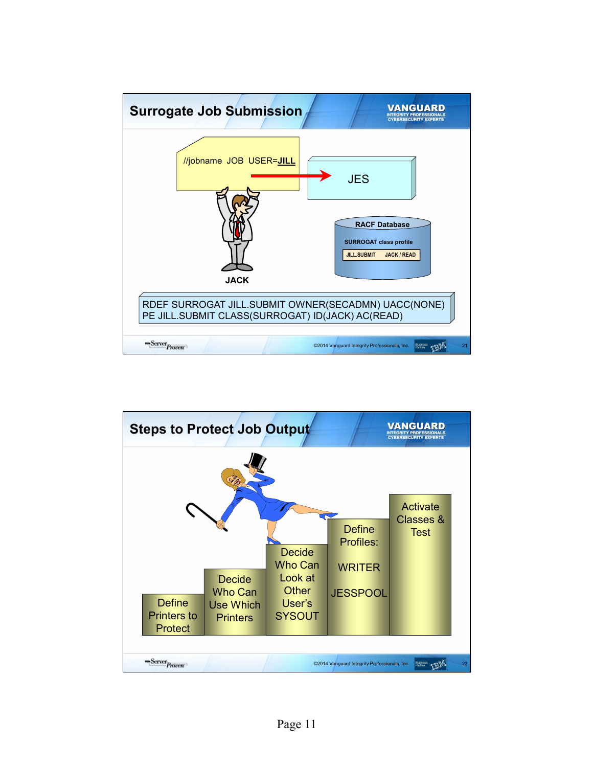

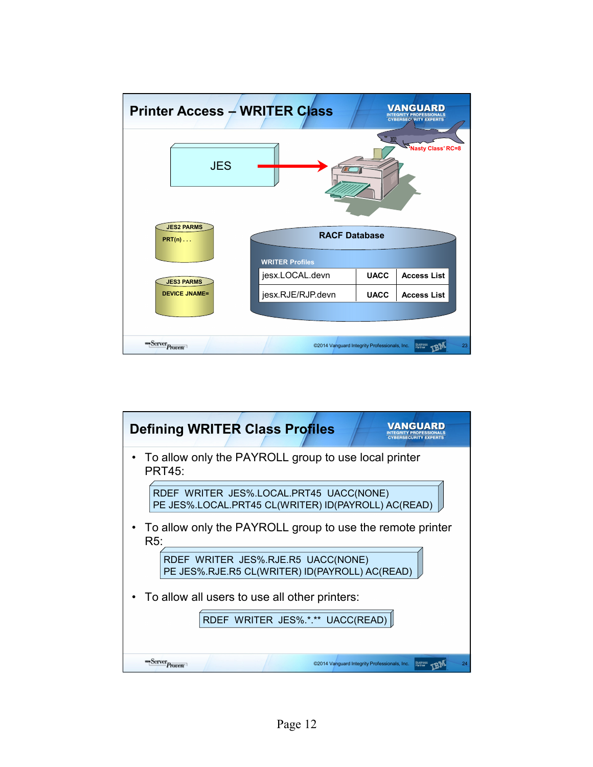

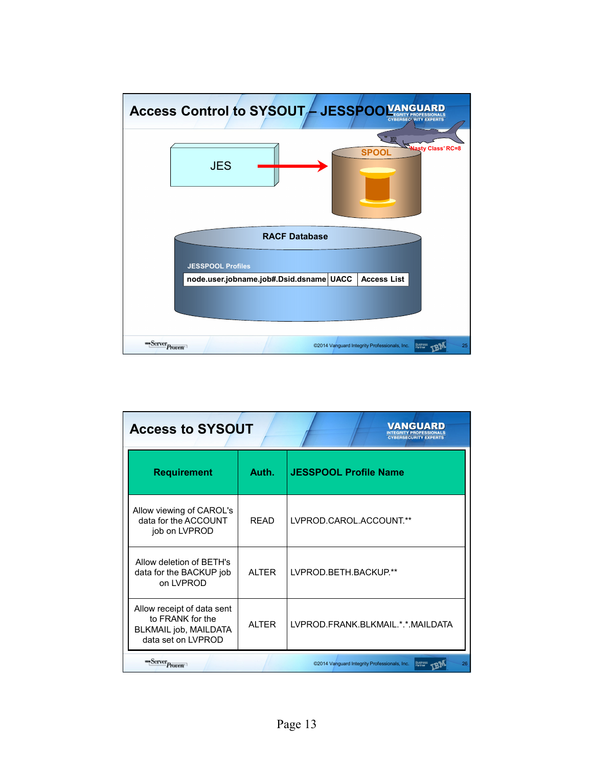

| VANGUARD<br><b>Access to SYSOUT</b><br><b>BERSECURITY EXPE</b>                                |              |                                                    |  |  |  |
|-----------------------------------------------------------------------------------------------|--------------|----------------------------------------------------|--|--|--|
| <b>Requirement</b>                                                                            | Auth.        | <b>JESSPOOL Profile Name</b>                       |  |  |  |
| Allow viewing of CAROL's<br>data for the ACCOUNT<br>job on LVPROD                             | <b>RFAD</b>  | LVPROD.CAROL.ACCOUNT.**                            |  |  |  |
| Allow deletion of BETH's<br>data for the BACKUP job<br>on LVPROD                              | <b>ALTER</b> | LVPROD.BETH.BACKUP.**                              |  |  |  |
| Allow receipt of data sent<br>to FRANK for the<br>BLKMAIL job, MAILDATA<br>data set on LVPROD | <b>ALTER</b> | LVPROD.FRANK.BLKMAIL.*.*.MAILDATA                  |  |  |  |
| <b>um</b> Server <sub>Proven</sub>                                                            |              | ©2014 Vanguard Integrity Professionals, Inc.<br>26 |  |  |  |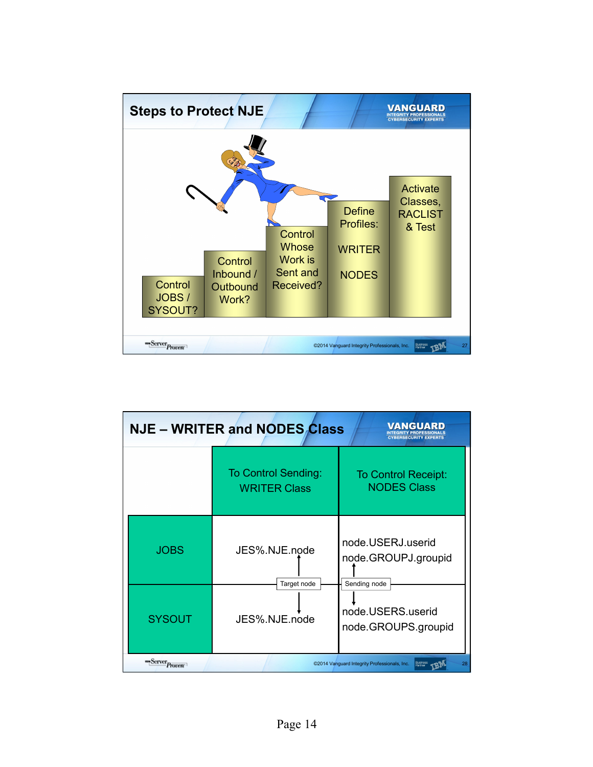

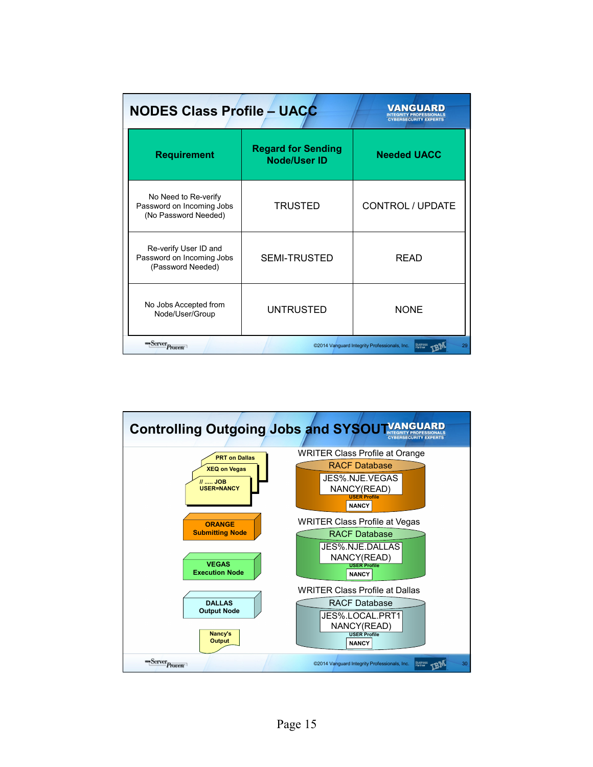| <b>NODES Class Profile - UACC</b>                                          | VANGUARD<br><b>CYBERSECURITY EXPER</b>           |                         |  |  |
|----------------------------------------------------------------------------|--------------------------------------------------|-------------------------|--|--|
| <b>Requirement</b>                                                         | <b>Regard for Sending</b><br><b>Node/User ID</b> | <b>Needed UACC</b>      |  |  |
| No Need to Re-verify<br>Password on Incoming Jobs<br>(No Password Needed)  | <b>TRUSTED</b>                                   | <b>CONTROL / UPDATE</b> |  |  |
| Re-verify User ID and<br>Password on Incoming Jobs<br>(Password Needed)    | <b>SEMI-TRUSTED</b>                              | <b>READ</b>             |  |  |
| No Jobs Accepted from<br>Node/User/Group                                   | <b>UNTRUSTED</b>                                 | <b>NONE</b>             |  |  |
| <b>Server</b> Proven<br>©2014 Vanguard Integrity Professionals, Inc.<br>29 |                                                  |                         |  |  |